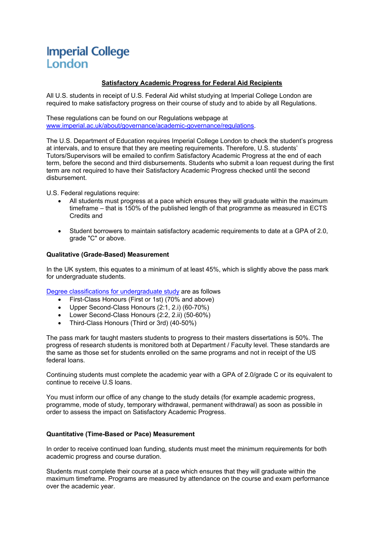# **Imperial College** London

# **Satisfactory Academic Progress for Federal Aid Recipients**

All U.S. students in receipt of U.S. Federal Aid whilst studying at Imperial College London are required to make satisfactory progress on their course of study and to abide by all Regulations.

These regulations can be found on our Regulations webpage at [www.imperial.ac.uk/about/governance/academic-governance/regulations.](http://www.imperial.ac.uk/about/governance/academic-governance/regulations)

The U.S. Department of Education requires Imperial College London to check the student's progress at intervals, and to ensure that they are meeting requirements. Therefore, U.S. students' Tutors/Supervisors will be emailed to confirm Satisfactory Academic Progress at the end of each term, before the second and third disbursements. Students who submit a loan request during the first term are not required to have their Satisfactory Academic Progress checked until the second disbursement.

U.S. Federal regulations require:

- All students must progress at a pace which ensures they will graduate within the maximum timeframe – that is 150% of the published length of that programme as measured in ECTS Credits and
- Student borrowers to maintain satisfactory academic requirements to date at a GPA of 2.0, grade "C" or above.

## **Qualitative (Grade-Based) Measurement**

In the UK system, this equates to a minimum of at least 45%, which is slightly above the pass mark for undergraduate students.

[Degree classifications for undergraduate study](https://www.imperial.ac.uk/students/success-guide/ug/assessments-and-feedback/improving-through-feedback/understanding-grades/) are as follows

- First-Class Honours (First or 1st) (70% and above)
- Upper Second-Class Honours (2:1, 2.i) (60-70%)
- Lower Second-Class Honours (2:2, 2.ii) (50-60%)
- Third-Class Honours (Third or 3rd) (40-50%)

The pass mark for taught masters students to progress to their masters dissertations is 50%. The progress of research students is monitored both at Department / Faculty level. These standards are the same as those set for students enrolled on the same programs and not in receipt of the US federal loans.

Continuing students must complete the academic year with a GPA of 2.0/grade C or its equivalent to continue to receive U.S loans.

You must inform our office of any change to the study details (for example academic progress, programme, mode of study, temporary withdrawal, permanent withdrawal) as soon as possible in order to assess the impact on Satisfactory Academic Progress.

# **Quantitative (Time-Based or Pace) Measurement**

In order to receive continued loan funding, students must meet the minimum requirements for both academic progress and course duration.

Students must complete their course at a pace which ensures that they will graduate within the maximum timeframe. Programs are measured by attendance on the course and exam performance over the academic year.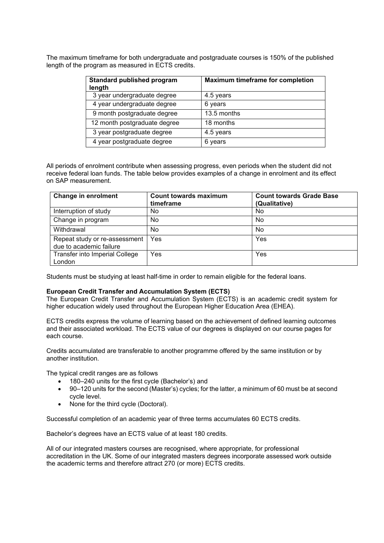The maximum timeframe for both undergraduate and postgraduate courses is 150% of the published length of the program as measured in ECTS credits.

| Standard published program<br>length | <b>Maximum timeframe for completion</b> |
|--------------------------------------|-----------------------------------------|
| 3 year undergraduate degree          | 4.5 years                               |
| 4 year undergraduate degree          | 6 years                                 |
| 9 month postgraduate degree          | 13.5 months                             |
| 12 month postgraduate degree         | 18 months                               |
| 3 year postgraduate degree           | 4.5 years                               |
| 4 year postgraduate degree           | 6 years                                 |

All periods of enrolment contribute when assessing progress, even periods when the student did not receive federal loan funds. The table below provides examples of a change in enrolment and its effect on SAP measurement.

| <b>Change in enrolment</b>                               | Count towards maximum<br>timeframe | <b>Count towards Grade Base</b><br>(Qualitative) |
|----------------------------------------------------------|------------------------------------|--------------------------------------------------|
| Interruption of study                                    | No                                 | No                                               |
| Change in program                                        | No.                                | No                                               |
| Withdrawal                                               | No.                                | No                                               |
| Repeat study or re-assessment<br>due to academic failure | Yes                                | Yes                                              |
| Transfer into Imperial College<br>London                 | Yes                                | Yes                                              |

Students must be studying at least half-time in order to remain eligible for the federal loans.

#### **European Credit Transfer and Accumulation System (ECTS)**

The European Credit Transfer and Accumulation System (ECTS) is an academic credit system for higher education widely used throughout the European Higher Education Area (EHEA).

ECTS credits express the volume of learning based on the achievement of defined learning outcomes and their associated workload. The ECTS value of our degrees is displayed on our course pages for each course.

Credits accumulated are transferable to another programme offered by the same institution or by another institution.

The typical credit ranges are as follows

- 180–240 units for the first cycle (Bachelor's) and
- 90–120 units for the second (Master's) cycles; for the latter, a minimum of 60 must be at second cycle level.
- None for the third cycle (Doctoral).

Successful completion of an academic year of three terms accumulates 60 ECTS credits.

Bachelor's degrees have an ECTS value of at least 180 credits.

All of our integrated masters courses are recognised, where appropriate, for professional accreditation in the UK. Some of our integrated masters degrees incorporate assessed work outside the academic terms and therefore attract 270 (or more) ECTS credits.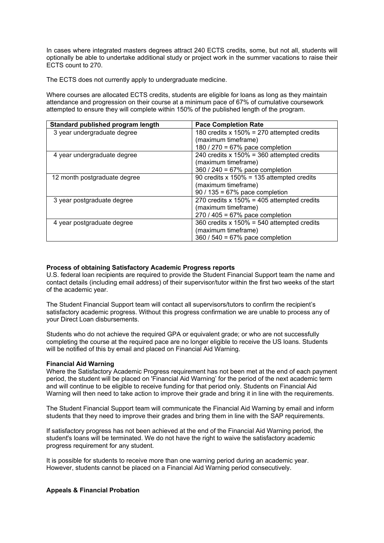In cases where integrated masters degrees attract 240 ECTS credits, some, but not all, students will optionally be able to undertake additional study or project work in the summer vacations to raise their ECTS count to 270.

The ECTS does not currently apply to undergraduate medicine.

Where courses are allocated ECTS credits, students are eligible for loans as long as they maintain attendance and progression on their course at a minimum pace of 67% of cumulative coursework attempted to ensure they will complete within 150% of the published length of the program.

| Standard published program length | <b>Pace Completion Rate</b>                   |
|-----------------------------------|-----------------------------------------------|
| 3 year undergraduate degree       | 180 credits x $150\% = 270$ attempted credits |
|                                   | (maximum timeframe)                           |
|                                   | 180 / 270 = 67% pace completion               |
| 4 year undergraduate degree       | 240 credits $x 150\% = 360$ attempted credits |
|                                   | (maximum timeframe)                           |
|                                   | 360 / 240 = 67% pace completion               |
| 12 month postgraduate degree      | 90 credits x $150\% = 135$ attempted credits  |
|                                   | (maximum timeframe)                           |
|                                   | $90/135 = 67%$ pace completion                |
| 3 year postgraduate degree        | 270 credits x $150\% = 405$ attempted credits |
|                                   | (maximum timeframe)                           |
|                                   | $270 / 405 = 67%$ pace completion             |
| 4 year postgraduate degree        | 360 credits x $150\% = 540$ attempted credits |
|                                   | (maximum timeframe)                           |
|                                   | 360 / 540 = 67% pace completion               |

## **Process of obtaining Satisfactory Academic Progress reports**

U.S. federal loan recipients are required to provide the Student Financial Support team the name and contact details (including email address) of their supervisor/tutor within the first two weeks of the start of the academic year.

The Student Financial Support team will contact all supervisors/tutors to confirm the recipient's satisfactory academic progress. Without this progress confirmation we are unable to process any of your Direct Loan disbursements.

Students who do not achieve the required GPA or equivalent grade; or who are not successfully completing the course at the required pace are no longer eligible to receive the US loans. Students will be notified of this by email and placed on Financial Aid Warning.

#### **Financial Aid Warning**

Where the Satisfactory Academic Progress requirement has not been met at the end of each payment period, the student will be placed on 'Financial Aid Warning' for the period of the next academic term and will continue to be eligible to receive funding for that period only. Students on Financial Aid Warning will then need to take action to improve their grade and bring it in line with the requirements.

The Student Financial Support team will communicate the Financial Aid Warning by email and inform students that they need to improve their grades and bring them in line with the SAP requirements.

If satisfactory progress has not been achieved at the end of the Financial Aid Warning period, the student's loans will be terminated. We do not have the right to waive the satisfactory academic progress requirement for any student.

It is possible for students to receive more than one warning period during an academic year. However, students cannot be placed on a Financial Aid Warning period consecutively.

# **Appeals & Financial Probation**